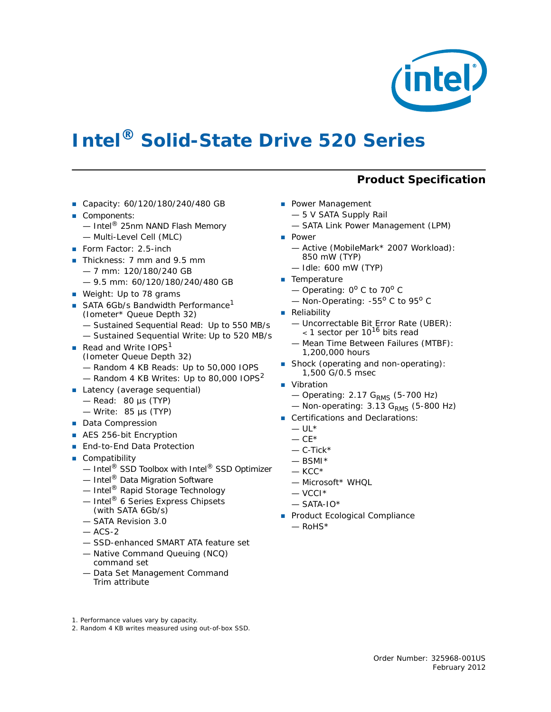

# **Intel® Solid-State Drive 520 Series**

#### **Product Specification**

- Capacity: 60/120/180/240/480 GB
- Components:
- Intel<sup>®</sup> 25nm NAND Flash Memory — Multi-Level Cell (MLC)
- Form Factor: 2.5-inch
- Thickness: 7 mm and 9.5 mm — 7 mm: 120/180/240 GB
	- 9.5 mm: 60/120/180/240/480 GB
- Weight: Up to 78 grams
- SATA 6Gb/s Bandwidth Performance<sup>1</sup> (Iometer\* Queue Depth 32) — Sustained Sequential Read: Up to 550 MB/s
	- Sustained Sequential Write: Up to 520 MB/s
- Read and Write  $10PS<sup>1</sup>$ (Iometer Queue Depth 32) — Random 4 KB Reads: Up to 50,000 IOPS
	- $-$  Random 4 KB Writes: Up to 80,000 IOPS<sup>2</sup>
- Latency (average sequential)
	- $-$  Read: 80 µs (TYP)
	- $-$  Write: 85 µs (TYP)
- Data Compression
- AES 256-bit Encryption
- **End-to-End Data Protection**
- Compatibility
	- Intel<sup>®</sup> SSD Toolbox with Intel<sup>®</sup> SSD Optimizer
	- Intel<sup>®</sup> Data Migration Software
	- Intel® Rapid Storage Technology
	- $-$  Intel $^{\circledR}$  6 Series Express Chipsets (with SATA 6Gb/s)
	- SATA Revision 3.0
	- $-$  ACS-2
	- SSD-enhanced SMART ATA feature set
	- Native Command Queuing (NCQ) command set
	- Data Set Management Command Trim attribute
- **Power Management** 
	- 5 V SATA Supply Rail
	- SATA Link Power Management (LPM)
- **Power** 
	- Active (MobileMark\* 2007 Workload): 850 mW (TYP)
	- Idle: 600 mW (TYP)
- **Temperature** 
	- $-$  Operating:  $0^{\circ}$  C to 70° C
	- $-$  Non-Operating: -55<sup>o</sup> C to 95<sup>o</sup> C
- **Reliability** 
	- Uncorrectable Bit Error Rate (UBER):
	- < 1 sector per 10<sup>16</sup> bits read — Mean Time Between Failures (MTBF):
	- 1,200,000 hours
- Shock (operating and non-operating): 1,500 G/0.5 msec
- **Vibration** 
	- Operating: 2.17 G<sub>RMS</sub> (5-700 Hz)
	- $-$  Non-operating: 3.13 G<sub>RMS</sub> (5-800 Hz)
- **Certifications and Declarations:** 
	- $U L^*$
	- $-CE*$
	- $-$  C-Tick\*
	- $-$  BSMI $*$
	- $-$  KCC\*
	- Microsoft\* WHQL
	- $-$  VCCI $*$
	- $-$  SATA-IO\*
- Product Ecological Compliance
- $-$  RoHS\*

2. Random 4 KB writes measured using out-of-box SSD.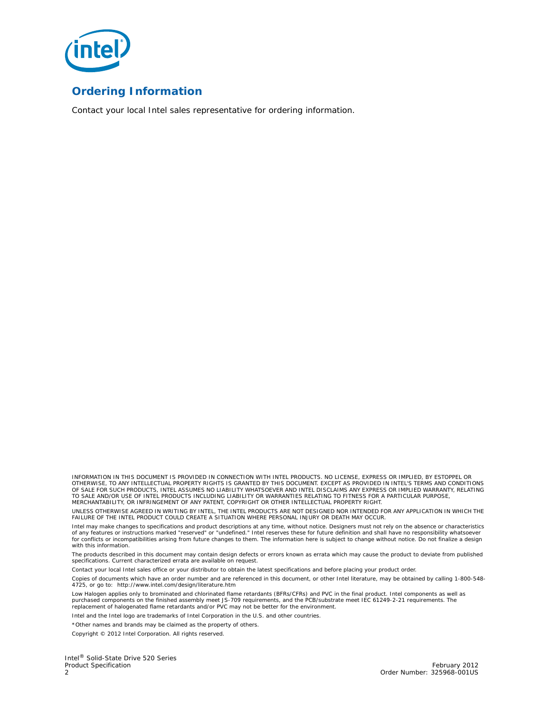

## **Ordering Information**

Contact your local Intel sales representative for ordering information.

INFORMATION IN THIS DOCUMENT IS PROVIDED IN CONNECTION WITH INTEL PRODUCTS. NO LICENSE, EXPRESS OR IMPLIED, BY ESTOPPEL OR OTHERWISE, TO ANY INTELLECTUAL PROPERTY RIGHTS IS GRANTED BY THIS DOCUMENT. EXCEPT AS PROVIDED IN INTEL'S TERMS AND CONDITIONS<br>OF SALE FOR SUCH PRODUCTS, INTEL ASSUMES NO LIABILITY WHATSOEVER AND INTEL DISCLAIMS ANY EXPRES TO SALE AND/OR USE OF INTEL PRODUCTS INCLUDING LIABILITY OR WARRANTIES RELATING TO FITNESS FOR A PARTICULAR PURPOSE, MERCHANTABILITY, OR INFRINGEMENT OF ANY PATENT, COPYRIGHT OR OTHER INTELLECTUAL PROPERTY RIGHT.

UNLESS OTHERWISE AGREED IN WRITING BY INTEL, THE INTEL PRODUCTS ARE NOT DESIGNED NOR INTENDED FOR ANY APPLICATION IN WHICH THE FAILURE OF THE INTEL PRODUCT COULD CREATE A SITUATION WHERE PERSONAL INJURY OR DEATH MAY OCCUR.

Intel may make changes to specifications and product descriptions at any time, without notice. Designers must not rely on the absence or characteristics<br>of any features or instructions marked "reserved" or "undefined." Int with this information

The products described in this document may contain design defects or errors known as errata which may cause the product to deviate from published specifications. Current characterized errata are available on request.

Contact your local Intel sales office or your distributor to obtain the latest specifications and before placing your product order.

Copies of documents which have an order number and are referenced in this document, or other Intel literature, may be obtained by calling 1-800-548- 4725, or go to: http://www.intel.com/design/literature.htm

Low Halogen applies only to brominated and chlorinated flame retardants (BFRs/CFRs) and PVC in the final product. Intel components as well as purchased components on the finished assembly meet JS-709 requirements, and the PCB/substrate meet IEC 61249-2-21 requirements. The replacement of halogenated flame retardants and/or PVC may not be better for the environment.

Intel and the Intel logo are trademarks of Intel Corporation in the U.S. and other countries.

\*Other names and brands may be claimed as the property of others.

Copyright © 2012 Intel Corporation. All rights reserved.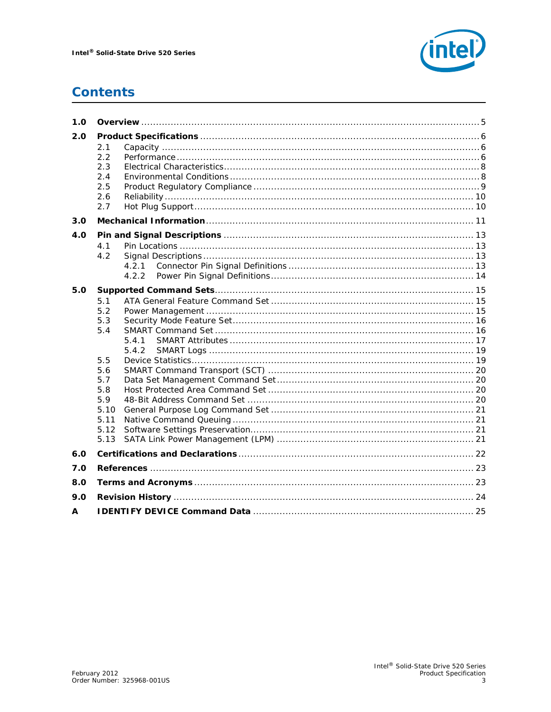

## **Contents**

| 1.0 |                                                                                                      |  |  |  |  |  |
|-----|------------------------------------------------------------------------------------------------------|--|--|--|--|--|
| 2.0 | 2.1<br>2.2<br>2.3<br>2.4<br>2.5<br>2.6<br>2.7                                                        |  |  |  |  |  |
| 3.0 |                                                                                                      |  |  |  |  |  |
| 4.0 | 4.1<br>4.2<br>4.2.1<br>4.2.2                                                                         |  |  |  |  |  |
| 5.0 | 5.1<br>5.2<br>5.3<br>5.4<br>5.4.1<br>5.5<br>5.6<br>5.7<br>5.8<br>5.9<br>5.10<br>5.11<br>5.12<br>5.13 |  |  |  |  |  |
| 6.0 |                                                                                                      |  |  |  |  |  |
| 7.0 |                                                                                                      |  |  |  |  |  |
| 8.0 |                                                                                                      |  |  |  |  |  |
| 9.0 |                                                                                                      |  |  |  |  |  |
| A   |                                                                                                      |  |  |  |  |  |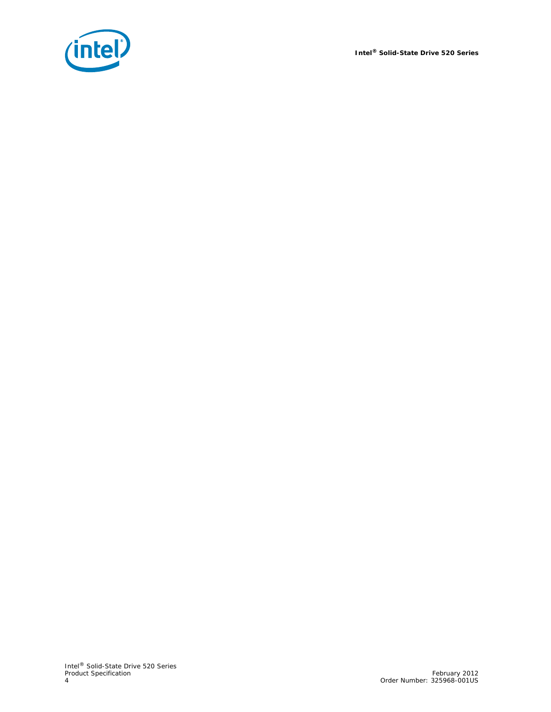

*Intel® Solid-State Drive 520 Series*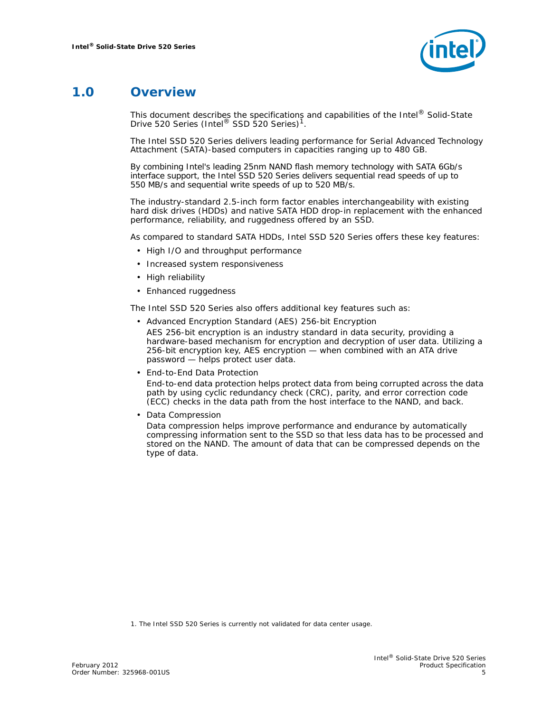

## <span id="page-4-0"></span>**1.0 Overview**

This document describes the specifications and capabilities of the Intel® Solid-State Drive 520 Series (Intel<sup>®</sup> SSD 520 Series)<sup>1</sup>.

The Intel SSD 520 Series delivers leading performance for Serial Advanced Technology Attachment (SATA)-based computers in capacities ranging up to 480 GB.

By combining Intel's leading 25nm NAND flash memory technology with SATA 6Gb/s interface support, the Intel SSD 520 Series delivers sequential read speeds of up to 550 MB/s and sequential write speeds of up to 520 MB/s.

The industry-standard 2.5-inch form factor enables interchangeability with existing hard disk drives (HDDs) and native SATA HDD drop-in replacement with the enhanced performance, reliability, and ruggedness offered by an SSD.

As compared to standard SATA HDDs, Intel SSD 520 Series offers these key features:

- High I/O and throughput performance
- Increased system responsiveness
- High reliability
- Enhanced ruggedness

The Intel SSD 520 Series also offers additional key features such as:

- Advanced Encryption Standard (AES) 256-bit Encryption AES 256-bit encryption is an industry standard in data security, providing a hardware-based mechanism for encryption and decryption of user data. Utilizing a 256-bit encryption key, AES encryption — when combined with an ATA drive password — helps protect user data.
- End-to-End Data Protection

End-to-end data protection helps protect data from being corrupted across the data path by using cyclic redundancy check (CRC), parity, and error correction code (ECC) checks in the data path from the host interface to the NAND, and back.

• Data Compression

Data compression helps improve performance and endurance by automatically compressing information sent to the SSD so that less data has to be processed and stored on the NAND. The amount of data that can be compressed depends on the type of data.

1. The Intel SSD 520 Series is currently not validated for data center usage.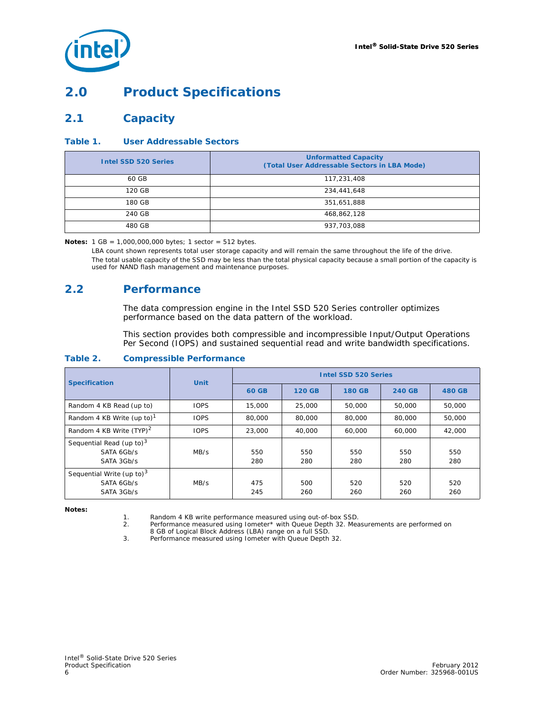

## <span id="page-5-0"></span>**2.0 Product Specifications**

## <span id="page-5-1"></span>**2.1 Capacity**

#### **Table 1. User Addressable Sectors**

| <b>Intel SSD 520 Series</b> | <b>Unformatted Capacity</b><br>(Total User Addressable Sectors in LBA Mode) |
|-----------------------------|-----------------------------------------------------------------------------|
| 60 GB                       | 117,231,408                                                                 |
| 120 GB                      | 234,441,648                                                                 |
| 180 GB                      | 351,651,888                                                                 |
| 240 GB                      | 468,862,128                                                                 |
| 480 GB                      | 937,703,088                                                                 |

*Notes:* 1 GB = 1,000,000,000 bytes; 1 sector = 512 bytes.

LBA count shown represents total user storage capacity and will remain the same throughout the life of the drive. The total usable capacity of the SSD may be less than the total physical capacity because a small portion of the capacity is used for NAND flash management and maintenance purposes.

## <span id="page-5-2"></span>**2.2 Performance**

The data compression engine in the Intel SSD 520 Series controller optimizes performance based on the data pattern of the workload.

This section provides both compressible and incompressible Input/Output Operations Per Second (IOPS) and sustained sequential read and write bandwidth specifications.

#### **Table 2. Compressible Performance**

| <b>Specification</b>                                     | <b>Unit</b> | <b>Intel SSD 520 Series</b> |               |               |               |               |
|----------------------------------------------------------|-------------|-----------------------------|---------------|---------------|---------------|---------------|
|                                                          |             | <b>60 GB</b>                | <b>120 GB</b> | <b>180 GB</b> | <b>240 GB</b> | <b>480 GB</b> |
| Random 4 KB Read (up to)                                 | <b>IOPS</b> | 15,000                      | 25,000        | 50,000        | 50,000        | 50,000        |
| Random 4 KB Write (up to) <sup>1</sup>                   | <b>IOPS</b> | 80,000                      | 80,000        | 80,000        | 80,000        | 50,000        |
| Random 4 KB Write (TYP) <sup>2</sup>                     | <b>IOPS</b> | 23,000                      | 40.000        | 60,000        | 60.000        | 42,000        |
| Sequential Read (up to) $3$<br>SATA 6Gb/s<br>SATA 3Gb/s  | MB/s        | 550<br>280                  | 550<br>280    | 550<br>280    | 550<br>280    | 550<br>280    |
| Sequential Write (up to) $3$<br>SATA 6Gb/s<br>SATA 3Gb/s | MB/s        | 475<br>245                  | 500<br>260    | 520<br>260    | 520<br>260    | 520<br>260    |

*Notes:*

1. Random 4 KB write performance measured using out-of-box SSD.<br>2. Performance measured using lometer\* with Queue Depth 32. Mea

Performance measured using Iometer\* with Queue Depth 32. Measurements are performed on 8 GB of Logical Block Address (LBA) range on a full SSD.

3. Performance measured using Iometer with Queue Depth 32.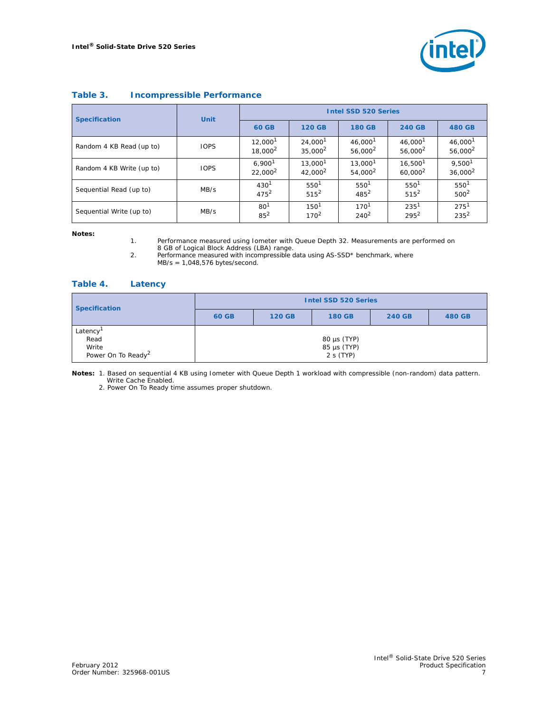

| Table 3. | <b>Incompressible Performance</b> |  |
|----------|-----------------------------------|--|
|          |                                   |  |

| <b>Specification</b>      | <b>Unit</b> | <b>Intel SSD 520 Series</b>                |                                            |                                            |                                            |                                            |
|---------------------------|-------------|--------------------------------------------|--------------------------------------------|--------------------------------------------|--------------------------------------------|--------------------------------------------|
|                           |             | <b>60 GB</b>                               | <b>120 GB</b>                              | <b>180 GB</b>                              | <b>240 GB</b>                              | <b>480 GB</b>                              |
| Random 4 KB Read (up to)  | <b>IOPS</b> | 12.000 <sup>1</sup><br>18,000 <sup>2</sup> | 24.000 <sup>1</sup><br>35.000 <sup>2</sup> | 46.000 <sup>1</sup><br>56.000 <sup>2</sup> | 46,000 <sup>1</sup><br>56.000 <sup>2</sup> | 46.000 <sup>1</sup><br>56.000 <sup>2</sup> |
| Random 4 KB Write (up to) | <b>IOPS</b> | 6.900 <sup>1</sup><br>22,000 <sup>2</sup>  | 13.000 <sup>1</sup><br>42.000 <sup>2</sup> | 13.000 <sup>1</sup><br>54.000 <sup>2</sup> | 16.500 <sup>1</sup><br>60.000 <sup>2</sup> | 9.500 <sup>1</sup><br>$36,000^2$           |
| Sequential Read (up to)   | MB/s        | 430 <sup>1</sup><br>475 <sup>2</sup>       | 550 <sup>1</sup><br>$515^2$                | 550 <sup>1</sup><br>$485^{2}$              | 550 <sup>1</sup><br>$515^2$                | 550 <sup>1</sup><br>$500^2$                |
| Sequential Write (up to)  | MB/s        | 80 <sup>1</sup><br>$85^{2}$                | 150 <sup>1</sup><br>$170^2$                | 170 <sup>1</sup><br>$240^2$                | 235 <sup>1</sup><br>$295^2$                | 275 <sup>1</sup><br>$235^2$                |

#### *Notes:*

1. Performance measured using Iometer with Queue Depth 32. Measurements are performed on 8 GB of Logical Block Address (LBA) range.

2. Performance measured with incompressible data using AS-SSD\* benchmark, where MB/s = 1,048,576 bytes/second.

#### **Table 4. Latency**

| <b>Specification</b>                                                    | <b>Intel SSD 520 Series</b> |               |                                                   |               |               |
|-------------------------------------------------------------------------|-----------------------------|---------------|---------------------------------------------------|---------------|---------------|
|                                                                         | <b>60 GB</b>                | <b>120 GB</b> | <b>180 GB</b>                                     | <b>240 GB</b> | <b>480 GB</b> |
| Latency <sup>1</sup><br>Read<br>Write<br>Power On To Ready <sup>2</sup> |                             |               | $80 \mu s$ (TYP)<br>$85 \mu s$ (TYP)<br>2 s (TYP) |               |               |

*Notes:* 1. Based on sequential 4 KB using Iometer with Queue Depth 1 workload with compressible (non-random) data pattern. Write Cache Enabled.

2. Power On To Ready time assumes proper shutdown.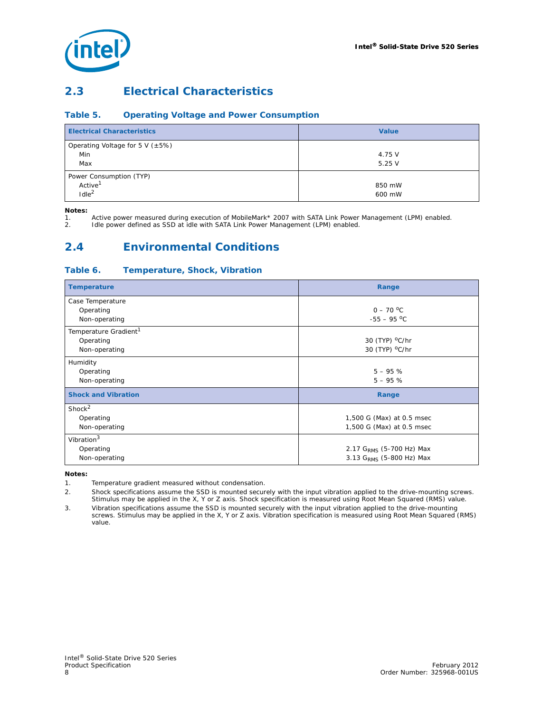

## <span id="page-7-0"></span>**2.3 Electrical Characteristics**

#### **Table 5. Operating Voltage and Power Consumption**

| <b>Electrical Characteristics</b>     | <b>Value</b> |
|---------------------------------------|--------------|
| Operating Voltage for 5 V ( $\pm$ 5%) |              |
| Min                                   | 4.75 V       |
| Max                                   | 5.25V        |
| Power Consumption (TYP)               |              |
| Active <sup>1</sup>                   | 850 mW       |
| $I$ dle $2$                           | 600 mW       |

*Notes:*

1. Active power measured during execution of MobileMark\* 2007 with SATA Link Power Management (LPM) enabled.<br>1. Idle nower defined as SSD at idle with SATA Link Power Management (LPM) enabled

Idle power defined as SSD at idle with SATA Link Power Management (LPM) enabled.

## <span id="page-7-1"></span>**2.4 Environmental Conditions**

#### **Table 6. Temperature, Shock, Vibration**

| <b>Temperature</b>                | Range                                |
|-----------------------------------|--------------------------------------|
| Case Temperature                  |                                      |
| Operating                         | $0 - 70 °C$                          |
| Non-operating                     | $-55 - 95$ °C                        |
| Temperature Gradient <sup>1</sup> |                                      |
| Operating                         | 30 (TYP) <sup>o</sup> C/hr           |
| Non-operating                     | 30 (TYP) <sup>o</sup> C/hr           |
| Humidity                          |                                      |
| Operating                         | $5 - 95%$                            |
| Non-operating                     | $5 - 95%$                            |
| <b>Shock and Vibration</b>        | Range                                |
| Short <sup>2</sup>                |                                      |
| Operating                         | 1,500 G (Max) at 0.5 msec            |
| Non-operating                     | 1,500 G (Max) at 0.5 msec            |
| Vibration <sup>3</sup>            |                                      |
| Operating                         | 2.17 G <sub>RMS</sub> (5-700 Hz) Max |
| Non-operating                     | 3.13 G <sub>RMS</sub> (5-800 Hz) Max |

*Notes:*

1. Temperature gradient measured without condensation.

2. Shock specifications assume the SSD is mounted securely with the input vibration applied to the drive-mounting screws. Stimulus may be applied in the X, Y or Z axis. Shock specification is measured using Root Mean Squared (RMS) value.

3. Vibration specifications assume the SSD is mounted securely with the input vibration applied to the drive-mounting screws. Stimulus may be applied in the X, Y or Z axis. Vibration specification is measured using Root Mean Squared (RMS) value.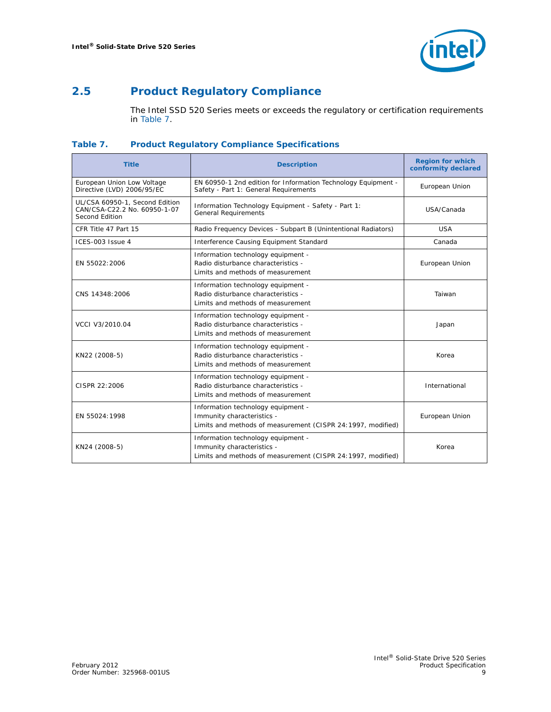

## <span id="page-8-0"></span>**2.5 Product Regulatory Compliance**

The Intel SSD 520 Series meets or exceeds the regulatory or certification requirements in [Table 7.](#page-8-1)

#### <span id="page-8-1"></span>**Table 7. Product Regulatory Compliance Specifications**

| <b>Title</b>                                                                     | <b>Description</b>                                                                                                              | <b>Region for which</b><br>conformity declared |
|----------------------------------------------------------------------------------|---------------------------------------------------------------------------------------------------------------------------------|------------------------------------------------|
| European Union Low Voltage<br>Directive (LVD) 2006/95/EC                         | EN 60950-1 2nd edition for Information Technology Equipment -<br>Safety - Part 1: General Requirements                          | European Union                                 |
| UL/CSA 60950-1, Second Edition<br>CAN/CSA-C22.2 No. 60950-1-07<br>Second Edition | Information Technology Equipment - Safety - Part 1:<br><b>General Requirements</b>                                              | USA/Canada                                     |
| CFR Title 47 Part 15                                                             | Radio Frequency Devices - Subpart B (Unintentional Radiators)                                                                   | <b>USA</b>                                     |
| ICES-003 Issue 4                                                                 | Interference Causing Equipment Standard                                                                                         | Canada                                         |
| EN 55022:2006                                                                    | Information technology equipment -<br>Radio disturbance characteristics -<br>Limits and methods of measurement                  | European Union                                 |
| CNS 14348:2006                                                                   | Information technology equipment -<br>Radio disturbance characteristics -<br>Limits and methods of measurement                  | Taiwan                                         |
| VCCI V3/2010.04                                                                  | Information technology equipment -<br>Radio disturbance characteristics -<br>Limits and methods of measurement                  | Japan                                          |
| KN22 (2008-5)                                                                    | Information technology equipment -<br>Radio disturbance characteristics -<br>Limits and methods of measurement                  | Korea                                          |
| CISPR 22:2006                                                                    | Information technology equipment -<br>Radio disturbance characteristics -<br>Limits and methods of measurement                  | International                                  |
| EN 55024:1998                                                                    | Information technology equipment -<br>Immunity characteristics -<br>Limits and methods of measurement (CISPR 24:1997, modified) | European Union                                 |
| KN24 (2008-5)                                                                    | Information technology equipment -<br>Immunity characteristics -<br>Limits and methods of measurement (CISPR 24:1997, modified) | Korea                                          |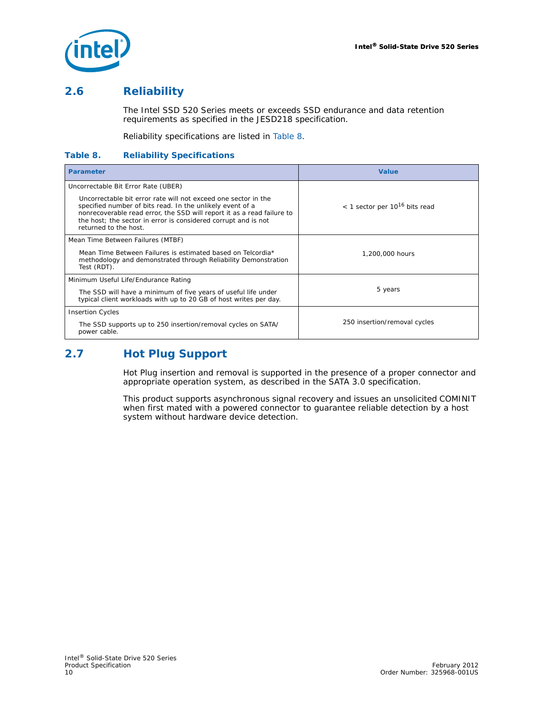

## <span id="page-9-0"></span>**2.6 Reliability**

The Intel SSD 520 Series meets or exceeds SSD endurance and data retention requirements as specified in the JESD218 specification.

Reliability specifications are listed in [Table 8.](#page-9-2)

#### <span id="page-9-2"></span>**Table 8. Reliability Specifications**

| <b>Parameter</b>                                                                                                                                                                                                                                                                                 | <b>Value</b>                                |
|--------------------------------------------------------------------------------------------------------------------------------------------------------------------------------------------------------------------------------------------------------------------------------------------------|---------------------------------------------|
| Uncorrectable Bit Error Rate (UBER)                                                                                                                                                                                                                                                              |                                             |
| Uncorrectable bit error rate will not exceed one sector in the<br>specified number of bits read. In the unlikely event of a<br>nonrecoverable read error, the SSD will report it as a read failure to<br>the host; the sector in error is considered corrupt and is not<br>returned to the host. | $<$ 1 sector per 10 <sup>16</sup> bits read |
| Mean Time Between Failures (MTBF)                                                                                                                                                                                                                                                                |                                             |
| Mean Time Between Failures is estimated based on Telcordia*<br>methodology and demonstrated through Reliability Demonstration<br>Test (RDT).                                                                                                                                                     | 1.200.000 hours                             |
| Minimum Useful Life/Endurance Rating                                                                                                                                                                                                                                                             |                                             |
| The SSD will have a minimum of five years of useful life under<br>typical client workloads with up to 20 GB of host writes per day.                                                                                                                                                              | 5 years                                     |
| <b>Insertion Cycles</b>                                                                                                                                                                                                                                                                          |                                             |
| The SSD supports up to 250 insertion/removal cycles on SATA/<br>power cable.                                                                                                                                                                                                                     | 250 insertion/removal cycles                |

## <span id="page-9-1"></span>**2.7 Hot Plug Support**

Hot Plug insertion and removal is supported in the presence of a proper connector and appropriate operation system, as described in the SATA 3.0 specification.

This product supports asynchronous signal recovery and issues an unsolicited COMINIT when first mated with a powered connector to guarantee reliable detection by a host system without hardware device detection.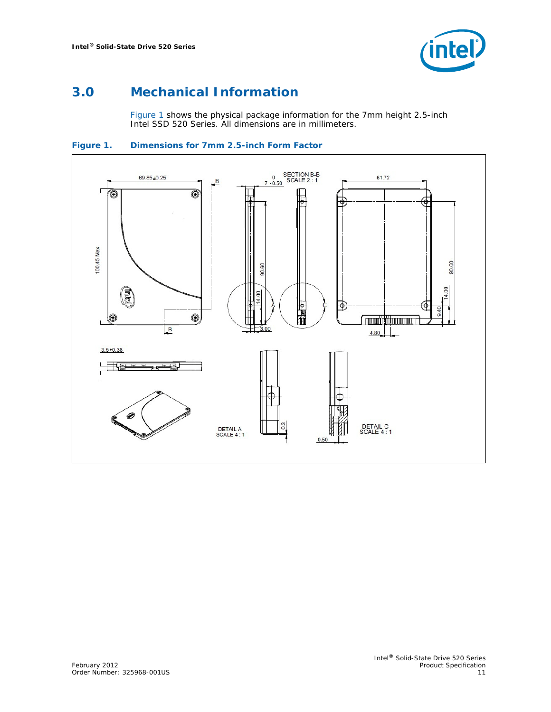

## <span id="page-10-0"></span>**3.0 Mechanical Information**

[Figure 1](#page-10-1) shows the physical package information for the 7mm height 2.5-inch Intel SSD 520 Series. All dimensions are in millimeters.

<span id="page-10-1"></span>**Figure 1. Dimensions for 7mm 2.5-inch Form Factor**

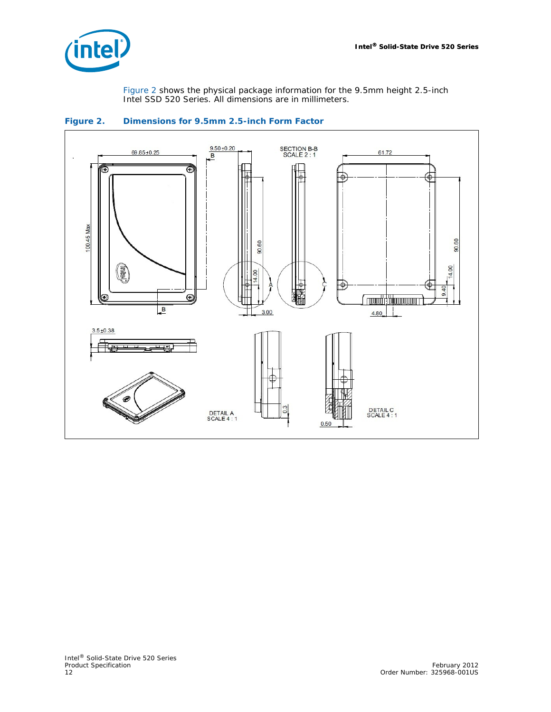

[Figure 2](#page-11-0) shows the physical package information for the 9.5mm height 2.5-inch Intel SSD 520 Series. All dimensions are in millimeters.



#### <span id="page-11-0"></span>**Figure 2. Dimensions for 9.5mm 2.5-inch Form Factor**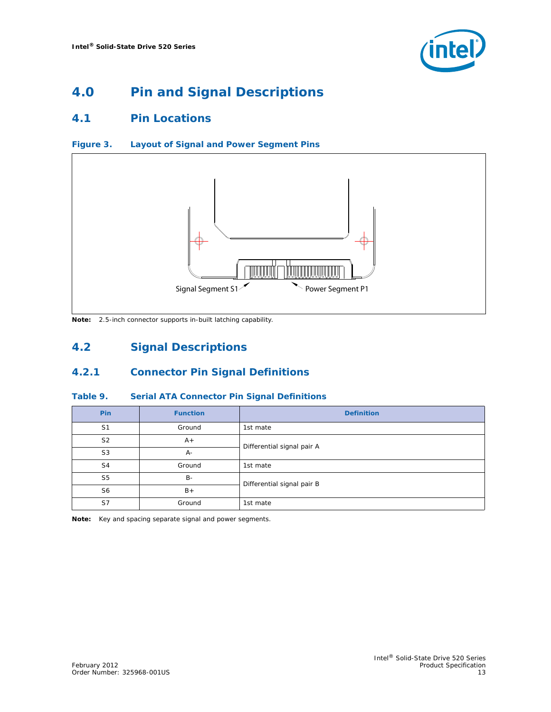

## <span id="page-12-0"></span>**4.0 Pin and Signal Descriptions**

## <span id="page-12-1"></span>**4.1 Pin Locations**

#### **Figure 3. Layout of Signal and Power Segment Pins**



*Note:* 2.5-inch connector supports in-built latching capability.

## <span id="page-12-2"></span>**4.2 Signal Descriptions**

### <span id="page-12-3"></span>**4.2.1 Connector Pin Signal Definitions**

### **Table 9. Serial ATA Connector Pin Signal Definitions**

| <b>Pin</b>     | <b>Function</b> | <b>Definition</b>          |  |
|----------------|-----------------|----------------------------|--|
| S <sub>1</sub> | Ground          | 1st mate                   |  |
| S <sub>2</sub> | $A+$            | Differential signal pair A |  |
| S <sub>3</sub> | $A -$           |                            |  |
| S4             | Ground          | 1st mate                   |  |
| S <sub>5</sub> | $B -$           | Differential signal pair B |  |
| S <sub>6</sub> | $B+$            |                            |  |
| S7             | Ground          | 1st mate                   |  |

*Note:* Key and spacing separate signal and power segments.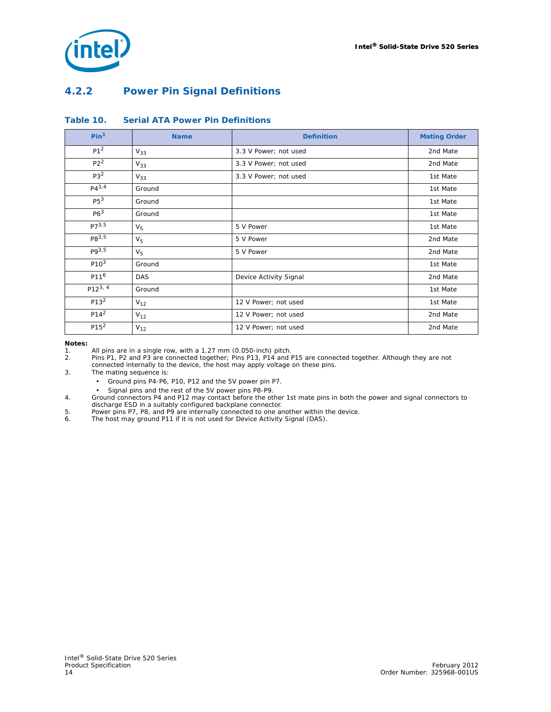

## <span id="page-13-0"></span>**4.2.2 Power Pin Signal Definitions**

| Pin <sup>1</sup>  | <b>Name</b>    | <b>Definition</b>      | <b>Mating Order</b> |
|-------------------|----------------|------------------------|---------------------|
| P1 <sup>2</sup>   | $V_{33}$       | 3.3 V Power; not used  | 2nd Mate            |
| $P2^2$            | $V_{33}$       | 3.3 V Power; not used  | 2nd Mate            |
| P3 <sup>2</sup>   | $V_{33}$       | 3.3 V Power; not used  | 1st Mate            |
| $P4^{3,4}$        | Ground         |                        | 1st Mate            |
| P5 <sup>3</sup>   | Ground         |                        | 1st Mate            |
| P6 <sup>3</sup>   | Ground         |                        | 1st Mate            |
| $P7^{3,5}$        | V <sub>5</sub> | 5 V Power              | 1st Mate            |
| P8 <sup>3,5</sup> | V <sub>5</sub> | 5 V Power              | 2nd Mate            |
| $P9^{3,5}$        | V <sub>5</sub> | 5 V Power              | 2nd Mate            |
| P10 <sup>3</sup>  | Ground         |                        | 1st Mate            |
| P11 <sup>6</sup>  | DAS            | Device Activity Signal | 2nd Mate            |
| $P12^{3,4}$       | Ground         |                        | 1st Mate            |
| P13 <sup>2</sup>  | $V_{12}$       | 12 V Power; not used   | 1st Mate            |
| P14 <sup>2</sup>  | $V_{12}$       | 12 V Power; not used   | 2nd Mate            |
| P15 <sup>2</sup>  | $V_{12}$       | 12 V Power; not used   | 2nd Mate            |

#### **Table 10. Serial ATA Power Pin Definitions**

#### *Notes:*

1. All pins are in a single row, with a 1.27 mm (0.050-inch) pitch.

2. Pins P1, P2 and P3 are connected together; Pins P13, P14 and P15 are connected together. Although they are not connected internally to the device, the host may apply voltage on these pins.

3. The mating sequence is:

• Ground pins P4-P6, P10, P12 and the 5V power pin P7.

• Signal pins and the rest of the 5V power pins P8-P9.

4. Ground connectors P4 and P12 may contact before the other 1st mate pins in both the power and signal connectors to discharge ESD in a suitably configured backplane connector.

- 5. Power pins P7, P8, and P9 are internally connected to one another within the device. 6. The host may ground P11 if it is not used for Device Activity Signal (DAS).
-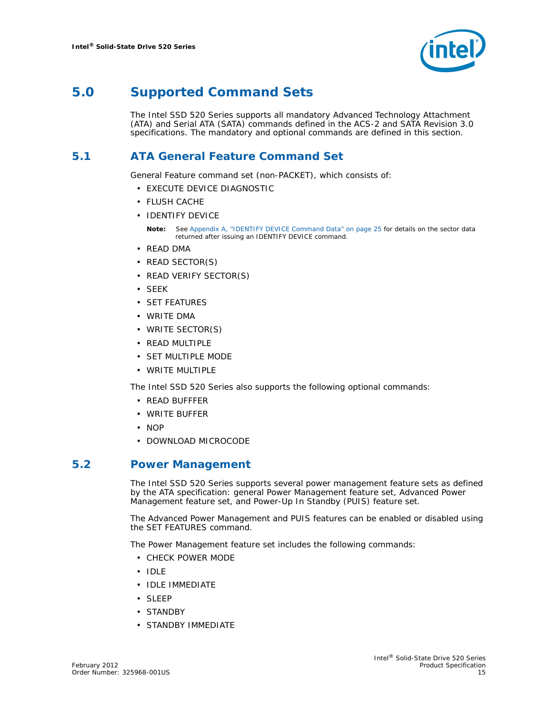

## <span id="page-14-0"></span>**5.0 Supported Command Sets**

The Intel SSD 520 Series supports all mandatory Advanced Technology Attachment (ATA) and Serial ATA (SATA) commands defined in the ACS-2 and SATA Revision 3.0 specifications. The mandatory and optional commands are defined in this section.

## <span id="page-14-1"></span>**5.1 ATA General Feature Command Set**

General Feature command set (non-PACKET), which consists of:

- EXECUTE DEVICE DIAGNOSTIC
- FLUSH CACHE
- IDENTIFY DEVICE

*Note:* See [Appendix A, "IDENTIFY DEVICE Command Data" on page 25](#page-24-0) for details on the sector data returned after issuing an IDENTIFY DEVICE command.

- READ DMA
- READ SECTOR(S)
- READ VERIFY SECTOR(S)
- SEEK
- SET FEATURES
- WRITE DMA
- WRITE SECTOR(S)
- READ MULTIPLE
- SET MULTIPLE MODE
- WRITE MULTIPLE

The Intel SSD 520 Series also supports the following optional commands:

- READ BUFFFER
- WRITE BUFFER
- NOP
- DOWNLOAD MICROCODE

#### <span id="page-14-2"></span>**5.2 Power Management**

The Intel SSD 520 Series supports several power management feature sets as defined by the ATA specification: general Power Management feature set, Advanced Power Management feature set, and Power-Up In Standby (PUIS) feature set.

The Advanced Power Management and PUIS features can be enabled or disabled using the SET FEATURES command.

The Power Management feature set includes the following commands:

- CHECK POWER MODE
- IDLE
- IDLE IMMEDIATE
- SLEEP
- STANDBY
- STANDBY IMMEDIATE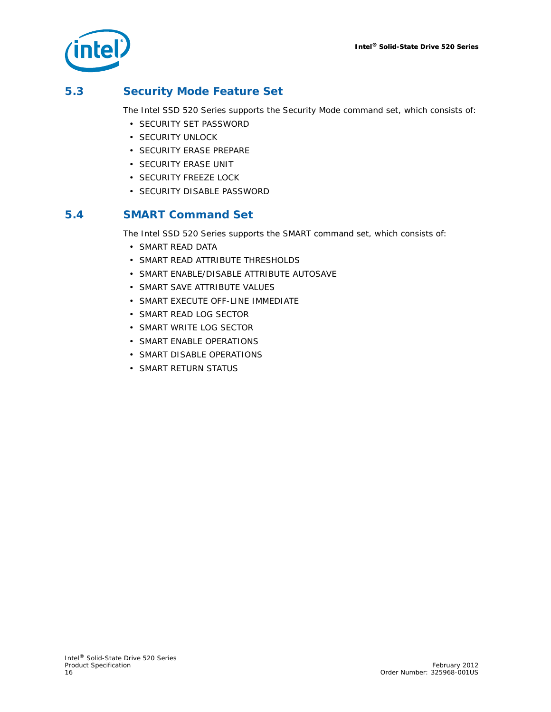

## <span id="page-15-0"></span>**5.3 Security Mode Feature Set**

The Intel SSD 520 Series supports the Security Mode command set, which consists of:

- SECURITY SET PASSWORD
- SECURITY UNLOCK
- SECURITY ERASE PREPARE
- SECURITY ERASE UNIT
- SECURITY FREEZE LOCK
- SECURITY DISABLE PASSWORD

### <span id="page-15-1"></span>**5.4 SMART Command Set**

The Intel SSD 520 Series supports the SMART command set, which consists of:

- SMART READ DATA
- SMART READ ATTRIBUTE THRESHOLDS
- SMART ENABLE/DISABLE ATTRIBUTE AUTOSAVE
- SMART SAVE ATTRIBUTE VALUES
- SMART EXECUTE OFF-LINE IMMEDIATE
- SMART READ LOG SECTOR
- SMART WRITE LOG SECTOR
- SMART ENABLE OPERATIONS
- SMART DISABLE OPERATIONS
- SMART RETURN STATUS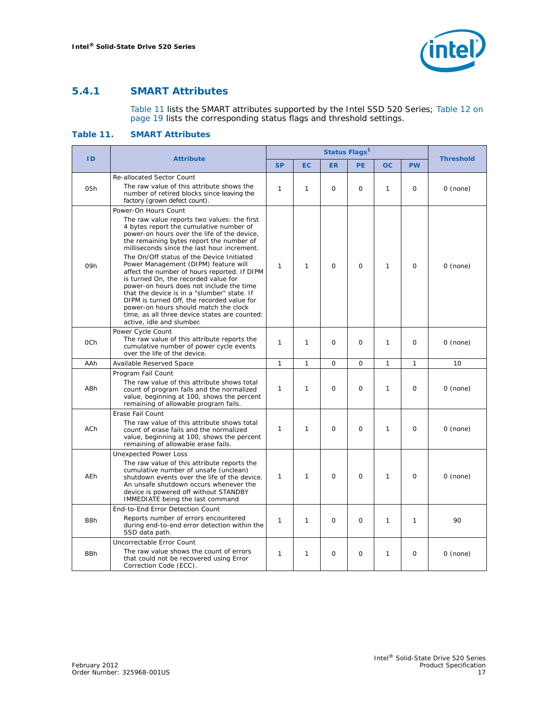

### <span id="page-16-0"></span>**5.4.1 SMART Attributes**

[Table 11](#page-16-1) lists the SMART attributes supported by the Intel SSD 520 Series; [Table 12 on](#page-18-2)  [page 19](#page-18-2) lists the corresponding status flags and threshold settings.

#### <span id="page-16-1"></span>**Table 11. SMART Attributes**

| ID               |                                                                                                                                                                                                                                                                                                                                                                                                                                                                                                                                                                                                                                                                                                       |              |           |             | Status Flags <sup>1</sup> | <b>Threshold</b> |              |                    |  |
|------------------|-------------------------------------------------------------------------------------------------------------------------------------------------------------------------------------------------------------------------------------------------------------------------------------------------------------------------------------------------------------------------------------------------------------------------------------------------------------------------------------------------------------------------------------------------------------------------------------------------------------------------------------------------------------------------------------------------------|--------------|-----------|-------------|---------------------------|------------------|--------------|--------------------|--|
|                  | <b>Attribute</b>                                                                                                                                                                                                                                                                                                                                                                                                                                                                                                                                                                                                                                                                                      | <b>SP</b>    | <b>EC</b> | <b>ER</b>   | <b>PE</b>                 | <b>OC</b>        | <b>PW</b>    |                    |  |
| 05h              | <b>Re-allocated Sector Count</b><br>The raw value of this attribute shows the<br>number of retired blocks since leaving the<br>factory (grown defect count).                                                                                                                                                                                                                                                                                                                                                                                                                                                                                                                                          | $\mathbf{1}$ | 1         | $\Omega$    | $\Omega$                  | 1                | $\Omega$     | $0 \text{ (none)}$ |  |
| 09h              | Power-On Hours Count<br>The raw value reports two values: the first<br>4 bytes report the cumulative number of<br>power-on hours over the life of the device,<br>the remaining bytes report the number of<br>milliseconds since the last hour increment.<br>The On/Off status of the Device Initiated<br>Power Management (DIPM) feature will<br>affect the number of hours reported. If DIPM<br>is turned On, the recorded value for<br>power-on hours does not include the time<br>that the device is in a "slumber" state. If<br>DIPM is turned Off, the recorded value for<br>power-on hours should match the clock<br>time, as all three device states are counted:<br>active, idle and slumber. | $\mathbf{1}$ | 1         | $\mathbf 0$ | $\mathbf 0$               | 1                | $\Omega$     | $0$ (none)         |  |
| 0Ch              | Power Cycle Count<br>The raw value of this attribute reports the<br>cumulative number of power cycle events<br>over the life of the device.                                                                                                                                                                                                                                                                                                                                                                                                                                                                                                                                                           | $\mathbf{1}$ | 1         | $\circ$     | $\Omega$                  | 1                | $\Omega$     | $0$ (none)         |  |
| AAh              | Available Reserved Space                                                                                                                                                                                                                                                                                                                                                                                                                                                                                                                                                                                                                                                                              |              | 1         | 0           | $\Omega$                  | 1                | $\mathbf{1}$ | 10                 |  |
| ABh              | Program Fail Count<br>The raw value of this attribute shows total<br>count of program fails and the normalized<br>value, beginning at 100, shows the percent<br>remaining of allowable program fails.                                                                                                                                                                                                                                                                                                                                                                                                                                                                                                 |              | 1         | $\Omega$    | $\Omega$                  | $\mathbf{1}$     | $\Omega$     | $0 \text{ (none)}$ |  |
| <b>ACh</b>       | Erase Fail Count<br>The raw value of this attribute shows total<br>count of erase fails and the normalized<br>value, beginning at 100, shows the percent<br>remaining of allowable erase fails.                                                                                                                                                                                                                                                                                                                                                                                                                                                                                                       | 1            | 1         | $\Omega$    | $\Omega$                  | 1                | $\Omega$     | $0 \text{ (none)}$ |  |
| <b>AEh</b>       | <b>Unexpected Power Loss</b><br>The raw value of this attribute reports the<br>cumulative number of unsafe (unclean)<br>shutdown events over the life of the device.<br>An unsafe shutdown occurs whenever the<br>device is powered off without STANDBY<br>IMMEDIATE being the last command                                                                                                                                                                                                                                                                                                                                                                                                           | $\mathbf{1}$ | 1         | $\Omega$    | $\Omega$                  | 1                | $\Omega$     | $0$ (none)         |  |
| B <sub>8</sub> h | End-to-End Error Detection Count<br>Reports number of errors encountered<br>during end-to-end error detection within the<br>SSD data path.                                                                                                                                                                                                                                                                                                                                                                                                                                                                                                                                                            | $\mathbf{1}$ | 1         | $\Omega$    | $\Omega$                  | 1                | $\mathbf{1}$ | 90                 |  |
| <b>BBh</b>       | Uncorrectable Error Count<br>The raw value shows the count of errors<br>that could not be recovered using Error<br>Correction Code (ECC).                                                                                                                                                                                                                                                                                                                                                                                                                                                                                                                                                             | $\mathbf{1}$ | 1         | $\Omega$    | $\Omega$                  | 1                | $\Omega$     | $0$ (none)         |  |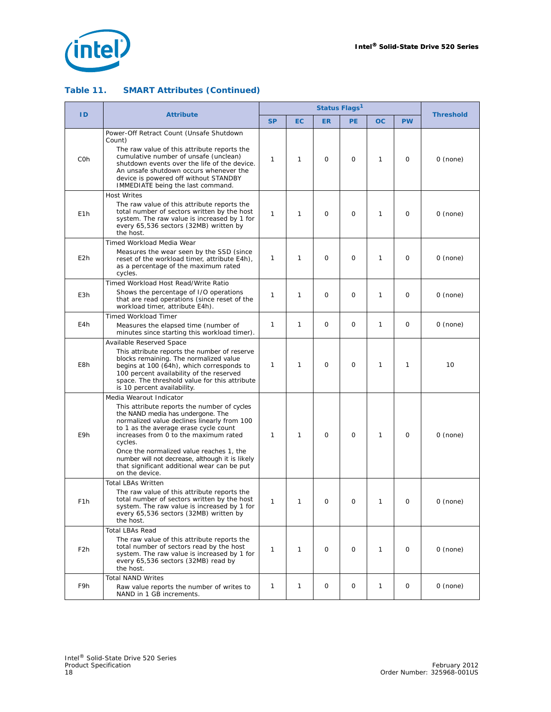

#### **Table 11. SMART Attributes (Continued)**

|                  |                                                                                                                                                                                                                                                                                                                                                                                                                         |              |              | Status Flags <sup>1</sup> |           |              |             |                    |
|------------------|-------------------------------------------------------------------------------------------------------------------------------------------------------------------------------------------------------------------------------------------------------------------------------------------------------------------------------------------------------------------------------------------------------------------------|--------------|--------------|---------------------------|-----------|--------------|-------------|--------------------|
| ID               | <b>Attribute</b>                                                                                                                                                                                                                                                                                                                                                                                                        | <b>SP</b>    | <b>EC</b>    | ER.                       | <b>PE</b> | ОC           | <b>PW</b>   | <b>Threshold</b>   |
| COh              | Power-Off Retract Count (Unsafe Shutdown<br>Count)<br>The raw value of this attribute reports the<br>cumulative number of unsafe (unclean)<br>shutdown events over the life of the device.<br>An unsafe shutdown occurs whenever the<br>device is powered off without STANDBY<br>IMMEDIATE being the last command.                                                                                                      |              | 1            | 0                         | 0         | 1            | $\Omega$    | $0 \text{ (none)}$ |
| E <sub>1</sub> h | <b>Host Writes</b><br>The raw value of this attribute reports the<br>total number of sectors written by the host<br>system. The raw value is increased by 1 for<br>every 65,536 sectors (32MB) written by<br>the host.                                                                                                                                                                                                  |              | 1            | $\Omega$                  | 0         | 1            | $\Omega$    | $0 \text{ (none)}$ |
| E <sub>2</sub> h | Timed Workload Media Wear<br>Measures the wear seen by the SSD (since<br>reset of the workload timer, attribute E4h),<br>as a percentage of the maximum rated<br>cycles.                                                                                                                                                                                                                                                | 1            | 1            | 0                         | 0         | 1            | $\Omega$    | $0 \text{ (none)}$ |
| E <sub>3</sub> h | Timed Workload Host Read/Write Ratio<br>Shows the percentage of I/O operations<br>that are read operations (since reset of the<br>workload timer, attribute E4h).                                                                                                                                                                                                                                                       |              | 1            | 0                         | 0         | 1            | $\Omega$    | $0 \text{ (none)}$ |
| E4h              | <b>Timed Workload Timer</b><br>Measures the elapsed time (number of<br>minutes since starting this workload timer).                                                                                                                                                                                                                                                                                                     |              | 1            | $\circ$                   | 0         | $\mathbf{1}$ | $\Omega$    | $0 \text{ (none)}$ |
| E8h              | Available Reserved Space<br>This attribute reports the number of reserve<br>blocks remaining. The normalized value<br>begins at 100 (64h), which corresponds to<br>100 percent availability of the reserved<br>space. The threshold value for this attribute<br>is 10 percent availability.                                                                                                                             | 1            | 1            | 0                         | 0         | 1            | 1           | 10                 |
| E9h              | Media Wearout Indicator<br>This attribute reports the number of cycles<br>the NAND media has undergone. The<br>normalized value declines linearly from 100<br>to 1 as the average erase cycle count<br>increases from 0 to the maximum rated<br>cycles.<br>Once the normalized value reaches 1, the<br>number will not decrease, although it is likely<br>that significant additional wear can be put<br>on the device. | $\mathbf{1}$ | 1            | $\Omega$                  | 0         | $\mathbf{1}$ | $\Omega$    | $0 \text{ (none)}$ |
| F <sub>1</sub> h | <b>Total LBAs Written</b><br>The raw value of this attribute reports the<br>total number of sectors written by the host<br>system. The raw value is increased by 1 for<br>every 65,536 sectors (32MB) written by<br>the host.                                                                                                                                                                                           | 1            | 1            | 0                         | 0         | 1            | $\Omega$    | $0 \text{ (none)}$ |
| F <sub>2</sub> h | <b>Total LBAs Read</b><br>The raw value of this attribute reports the<br>total number of sectors read by the host<br>system. The raw value is increased by 1 for<br>every 65,536 sectors (32MB) read by<br>the host.                                                                                                                                                                                                    | $\mathbf{1}$ | $\mathbf{1}$ | 0                         | 0         | 1            | 0           | $0$ (none)         |
| F9h              | <b>Total NAND Writes</b><br>Raw value reports the number of writes to<br>NAND in 1 GB increments.                                                                                                                                                                                                                                                                                                                       | 1            | $\mathbf{1}$ | 0                         | 0         | 1            | $\mathbf 0$ | $0$ (none)         |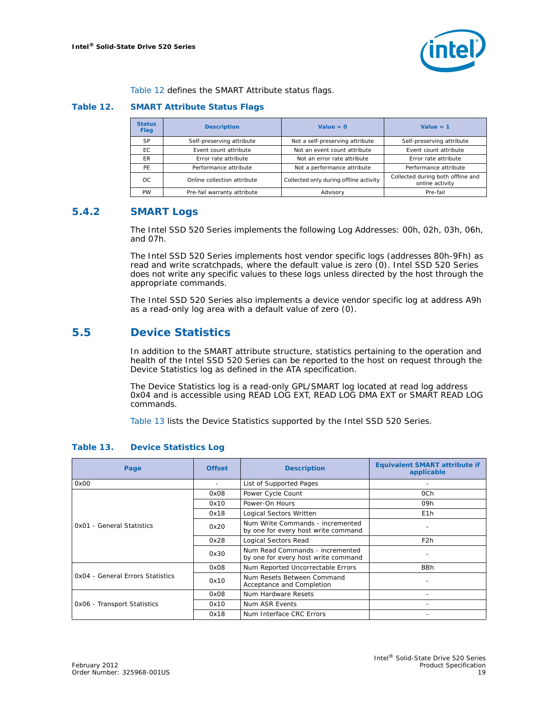

[Table 12](#page-18-2) defines the SMART Attribute status flags.

<span id="page-18-2"></span>**Table 12. SMART Attribute Status Flags**

| <b>Status</b><br><b>Flag</b>       | <b>Description</b>          | Value $= 0$                            | Value $= 1$                                          |
|------------------------------------|-----------------------------|----------------------------------------|------------------------------------------------------|
| <b>SP</b>                          | Self-preserving attribute   | Not a self-preserving attribute        | Self-preserving attribute                            |
| EC.                                | Event count attribute       | Not an event count attribute           | Event count attribute                                |
| ER.                                | Error rate attribute        | Not an error rate attribute            | Error rate attribute                                 |
| PF.                                | Performance attribute       | Not a performance attribute            | Performance attribute                                |
| Online collection attribute<br>OC. |                             | Collected only during offline activity | Collected during both offline and<br>online activity |
| PW                                 | Pre-fail warranty attribute | Advisory                               | Pre-fail                                             |

#### <span id="page-18-0"></span>**5.4.2 SMART Logs**

The Intel SSD 520 Series implements the following Log Addresses: 00h, 02h, 03h, 06h, and 07h.

The Intel SSD 520 Series implements host vendor specific logs (addresses 80h-9Fh) as read and write scratchpads, where the default value is zero (0). Intel SSD 520 Series does not write any specific values to these logs unless directed by the host through the appropriate commands.

The Intel SSD 520 Series also implements a device vendor specific log at address A9h as a read-only log area with a default value of zero (0).

### <span id="page-18-1"></span>**5.5 Device Statistics**

In addition to the SMART attribute structure, statistics pertaining to the operation and health of the Intel SSD 520 Series can be reported to the host on request through the Device Statistics log as defined in the ATA specification.

The Device Statistics log is a read-only GPL/SMART log located at read log address 0x04 and is accessible using READ LOG EXT, READ LOG DMA EXT or SMART READ LOG commands.

[Table 13](#page-18-3) lists the Device Statistics supported by the Intel SSD 520 Series.

| Page                                    | <b>Offset</b> | <b>Description</b>                                                      | <b>Equivalent SMART attribute if</b><br>applicable |
|-----------------------------------------|---------------|-------------------------------------------------------------------------|----------------------------------------------------|
| 0x00                                    |               | List of Supported Pages                                                 |                                                    |
|                                         | 0x08          | Power Cycle Count                                                       | 0 <sub>Ch</sub>                                    |
|                                         | 0x10          | Power-On Hours                                                          | 09h                                                |
|                                         | 0x18          | Logical Sectors Written                                                 | E <sub>1</sub> h                                   |
| 0x01 - General Statistics               | 0x20          | Num Write Commands - incremented<br>by one for every host write command |                                                    |
|                                         | 0x28          | Logical Sectors Read                                                    | F2h                                                |
|                                         | 0x30          | Num Read Commands - incremented<br>by one for every host write command  |                                                    |
|                                         | 0x08          | Num Reported Uncorrectable Errors                                       | <b>BBh</b>                                         |
| <b>0x04 - General Errors Statistics</b> | 0x10          | Num Resets Between Command<br>Acceptance and Completion                 |                                                    |
|                                         | 0x08          | Num Hardware Resets                                                     |                                                    |
| 0x06 - Transport Statistics             | 0x10          | Num ASR Events                                                          |                                                    |
|                                         | 0x18          | Num Interface CRC Errors                                                |                                                    |

#### <span id="page-18-3"></span>**Table 13. Device Statistics Log**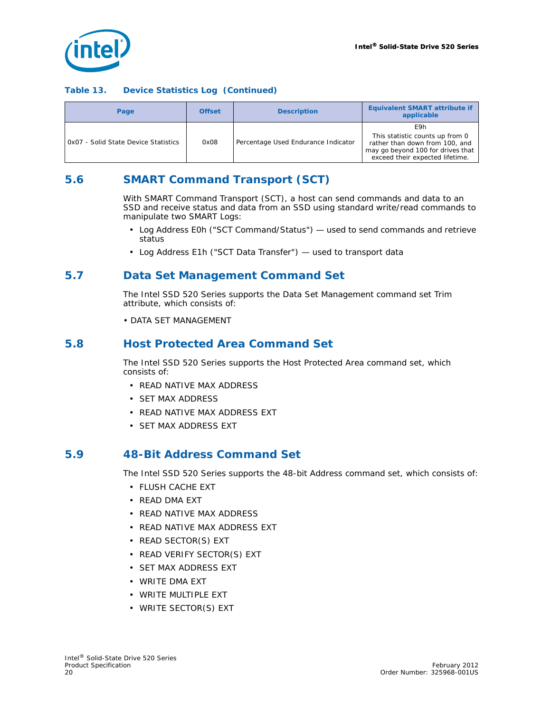

#### **Table 13. Device Statistics Log (Continued)**

| Page                                 | <b>Offset</b> | <b>Description</b>                  | <b>Equivalent SMART attribute if</b><br>applicable                                                                                               |
|--------------------------------------|---------------|-------------------------------------|--------------------------------------------------------------------------------------------------------------------------------------------------|
| OxO7 - Solid State Device Statistics | 0x08          | Percentage Used Endurance Indicator | E9h<br>This statistic counts up from 0<br>rather than down from 100, and<br>may go beyond 100 for drives that<br>exceed their expected lifetime. |

### <span id="page-19-0"></span>**5.6 SMART Command Transport (SCT)**

With SMART Command Transport (SCT), a host can send commands and data to an SSD and receive status and data from an SSD using standard write/read commands to manipulate two SMART Logs:

- Log Address E0h ("SCT Command/Status") used to send commands and retrieve status
- Log Address E1h ("SCT Data Transfer") used to transport data

### <span id="page-19-1"></span>**5.7 Data Set Management Command Set**

The Intel SSD 520 Series supports the Data Set Management command set Trim attribute, which consists of:

• DATA SET MANAGEMENT

### <span id="page-19-2"></span>**5.8 Host Protected Area Command Set**

The Intel SSD 520 Series supports the Host Protected Area command set, which consists of:

- READ NATIVE MAX ADDRESS
- SET MAX ADDRESS
- READ NATIVE MAX ADDRESS EXT
- SET MAX ADDRESS EXT

#### <span id="page-19-3"></span>**5.9 48-Bit Address Command Set**

The Intel SSD 520 Series supports the 48-bit Address command set, which consists of:

- FLUSH CACHE EXT
- READ DMA EXT
- READ NATIVE MAX ADDRESS
- READ NATIVE MAX ADDRESS EXT
- READ SECTOR(S) EXT
- READ VERIFY SECTOR(S) EXT
- SET MAX ADDRESS EXT
- WRITE DMA EXT
- WRITE MULTIPLE EXT
- WRITE SECTOR(S) EXT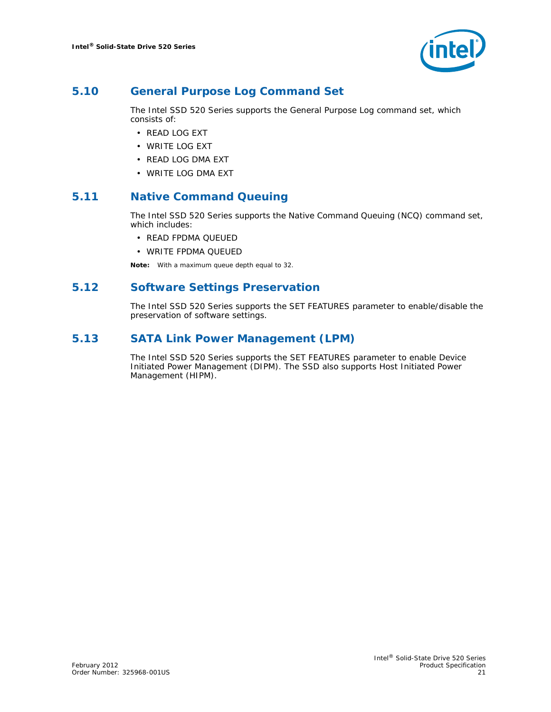

### <span id="page-20-0"></span>**5.10 General Purpose Log Command Set**

The Intel SSD 520 Series supports the General Purpose Log command set, which consists of:

- READ LOG EXT
- WRITE LOG EXT
- READ LOG DMA EXT
- WRITE LOG DMA EXT

### <span id="page-20-1"></span>**5.11 Native Command Queuing**

The Intel SSD 520 Series supports the Native Command Queuing (NCQ) command set, which includes:

- READ FPDMA QUEUED
- WRITE FPDMA QUEUED

*Note:* With a maximum queue depth equal to 32.

### <span id="page-20-2"></span>**5.12 Software Settings Preservation**

The Intel SSD 520 Series supports the SET FEATURES parameter to enable/disable the preservation of software settings.

### <span id="page-20-3"></span>**5.13 SATA Link Power Management (LPM)**

The Intel SSD 520 Series supports the SET FEATURES parameter to enable Device Initiated Power Management (DIPM). The SSD also supports Host Initiated Power Management (HIPM).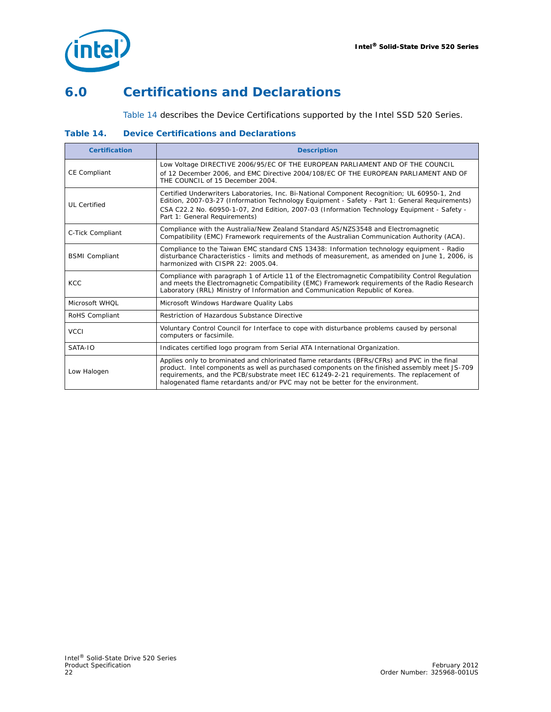

## <span id="page-21-0"></span>**6.0 Certifications and Declarations**

[Table 14](#page-21-1) describes the Device Certifications supported by the Intel SSD 520 Series.

<span id="page-21-1"></span>**Table 14. Device Certifications and Declarations**

| <b>Certification</b>  | <b>Description</b>                                                                                                                                                                                                                                                                                                                                                           |
|-----------------------|------------------------------------------------------------------------------------------------------------------------------------------------------------------------------------------------------------------------------------------------------------------------------------------------------------------------------------------------------------------------------|
| <b>CE Compliant</b>   | Low Voltage DIRECTIVE 2006/95/EC OF THE EUROPEAN PARLIAMENT AND OF THE COUNCIL<br>of 12 December 2006, and EMC Directive 2004/108/EC OF THE EUROPEAN PARLIAMENT AND OF<br>THE COUNCIL of 15 December 2004.                                                                                                                                                                   |
| <b>UL</b> Certified   | Certified Underwriters Laboratories, Inc. Bi-National Component Recognition; UL 60950-1, 2nd<br>Edition, 2007-03-27 (Information Technology Equipment - Safety - Part 1: General Requirements)<br>CSA C22.2 No. 60950-1-07, 2nd Edition, 2007-03 (Information Technology Equipment - Safety -<br>Part 1: General Requirements)                                               |
| C-Tick Compliant      | Compliance with the Australia/New Zealand Standard AS/NZS3548 and Electromagnetic<br>Compatibility (EMC) Framework requirements of the Australian Communication Authority (ACA).                                                                                                                                                                                             |
| <b>BSMI</b> Compliant | Compliance to the Taiwan EMC standard CNS 13438: Information technology equipment - Radio<br>disturbance Characteristics - limits and methods of measurement, as amended on June 1, 2006, is<br>harmonized with CISPR 22: 2005.04.                                                                                                                                           |
| <b>KCC</b>            | Compliance with paragraph 1 of Article 11 of the Electromagnetic Compatibility Control Regulation<br>and meets the Electromagnetic Compatibility (EMC) Framework requirements of the Radio Research<br>Laboratory (RRL) Ministry of Information and Communication Republic of Korea.                                                                                         |
| Microsoft WHQL        | Microsoft Windows Hardware Quality Labs                                                                                                                                                                                                                                                                                                                                      |
| RoHS Compliant        | Restriction of Hazardous Substance Directive                                                                                                                                                                                                                                                                                                                                 |
| <b>VCCI</b>           | Voluntary Control Council for Interface to cope with disturbance problems caused by personal<br>computers or facsimile.                                                                                                                                                                                                                                                      |
| SATA-IO               | Indicates certified logo program from Serial ATA International Organization.                                                                                                                                                                                                                                                                                                 |
| Low Halogen           | Applies only to brominated and chlorinated flame retardants (BFRs/CFRs) and PVC in the final<br>product. Intel components as well as purchased components on the finished assembly meet JS-709<br>requirements, and the PCB/substrate meet IEC 61249-2-21 requirements. The replacement of<br>halogenated flame retardants and/or PVC may not be better for the environment. |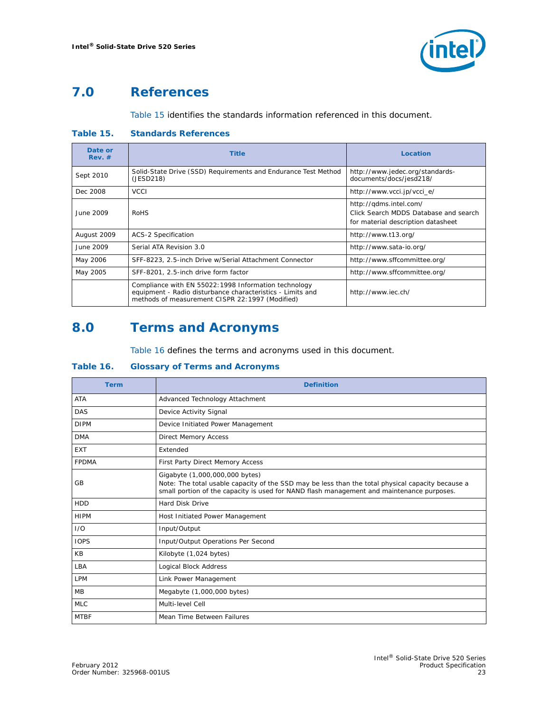

## <span id="page-22-0"></span>**7.0 References**

[Table 15](#page-22-2) identifies the standards information referenced in this document.

#### <span id="page-22-2"></span>**Table 15. Standards References**

| Date or<br>Rev. # | Title                                                                                                                                                                 | Location                                                                                              |
|-------------------|-----------------------------------------------------------------------------------------------------------------------------------------------------------------------|-------------------------------------------------------------------------------------------------------|
| Sept 2010         | Solid-State Drive (SSD) Requirements and Endurance Test Method<br>(JESD218)                                                                                           | http://www.jedec.org/standards-<br>documents/docs/jesd218/                                            |
| Dec 2008          | <b>VCCI</b>                                                                                                                                                           | http://www.vcci.jp/vcci_e/                                                                            |
| June 2009         | <b>RoHS</b>                                                                                                                                                           | http://gdms.intel.com/<br>Click Search MDDS Database and search<br>for material description datasheet |
| August 2009       | <b>ACS-2 Specification</b>                                                                                                                                            | http://www.t13.org/                                                                                   |
| June 2009         | Serial ATA Revision 3.0                                                                                                                                               | http://www.sata-io.org/                                                                               |
| May 2006          | SFF-8223, 2.5-inch Drive w/Serial Attachment Connector                                                                                                                | http://www.sffcommittee.org/                                                                          |
| May 2005          | SFF-8201, 2.5-inch drive form factor                                                                                                                                  | http://www.sffcommittee.org/                                                                          |
|                   | Compliance with EN 55022:1998 Information technology<br>equipment - Radio disturbance characteristics - Limits and<br>methods of measurement CISPR 22:1997 (Modified) | http://www.iec.ch/                                                                                    |

## <span id="page-22-1"></span>**8.0 Terms and Acronyms**

[Table 16](#page-22-3) defines the terms and acronyms used in this document.

#### <span id="page-22-3"></span>**Table 16. Glossary of Terms and Acronyms**

| <b>Term</b>  | <b>Definition</b>                                                                                                                                                                                                                |  |  |  |
|--------------|----------------------------------------------------------------------------------------------------------------------------------------------------------------------------------------------------------------------------------|--|--|--|
| <b>ATA</b>   | Advanced Technology Attachment                                                                                                                                                                                                   |  |  |  |
| <b>DAS</b>   | Device Activity Signal                                                                                                                                                                                                           |  |  |  |
| <b>DIPM</b>  | Device Initiated Power Management                                                                                                                                                                                                |  |  |  |
| <b>DMA</b>   | <b>Direct Memory Access</b>                                                                                                                                                                                                      |  |  |  |
| <b>EXT</b>   | Extended                                                                                                                                                                                                                         |  |  |  |
| <b>FPDMA</b> | First Party Direct Memory Access                                                                                                                                                                                                 |  |  |  |
| GB           | Gigabyte (1,000,000,000 bytes)<br>Note: The total usable capacity of the SSD may be less than the total physical capacity because a<br>small portion of the capacity is used for NAND flash management and maintenance purposes. |  |  |  |
| <b>HDD</b>   | <b>Hard Disk Drive</b>                                                                                                                                                                                                           |  |  |  |
| <b>HIPM</b>  | Host Initiated Power Management                                                                                                                                                                                                  |  |  |  |
| 1/O          | Input/Output                                                                                                                                                                                                                     |  |  |  |
| <b>IOPS</b>  | Input/Output Operations Per Second                                                                                                                                                                                               |  |  |  |
| KB           | Kilobyte (1,024 bytes)                                                                                                                                                                                                           |  |  |  |
| LBA          | Logical Block Address                                                                                                                                                                                                            |  |  |  |
| <b>LPM</b>   | Link Power Management                                                                                                                                                                                                            |  |  |  |
| MB           | Megabyte (1,000,000 bytes)                                                                                                                                                                                                       |  |  |  |
| <b>MLC</b>   | Multi-level Cell                                                                                                                                                                                                                 |  |  |  |
| <b>MTBF</b>  | Mean Time Between Failures                                                                                                                                                                                                       |  |  |  |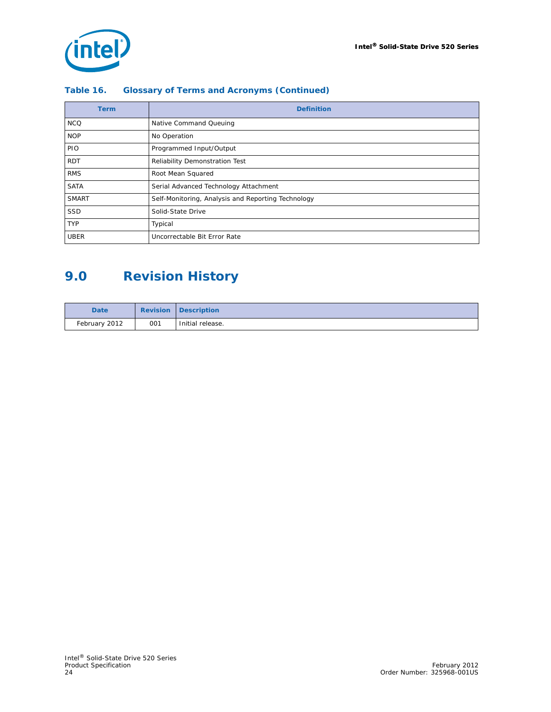

| Term                                                               | <b>Definition</b>              |
|--------------------------------------------------------------------|--------------------------------|
| <b>NCQ</b>                                                         | Native Command Queuing         |
| <b>NOP</b><br>No Operation                                         |                                |
| Programmed Input/Output<br>PIO.                                    |                                |
| <b>RDT</b>                                                         | Reliability Demonstration Test |
| <b>RMS</b>                                                         | Root Mean Squared              |
| <b>SATA</b><br>Serial Advanced Technology Attachment               |                                |
| <b>SMART</b><br>Self-Monitoring, Analysis and Reporting Technology |                                |
| <b>SSD</b><br>Solid-State Drive                                    |                                |
| <b>TYP</b>                                                         | Typical                        |
| <b>UBER</b>                                                        | Uncorrectable Bit Error Rate   |

#### **Table 16. Glossary of Terms and Acronyms (Continued)**

## <span id="page-23-0"></span>**9.0 Revision History**

| <b>Date</b>   | <b>Revision</b> | <b>IDescription</b> |
|---------------|-----------------|---------------------|
| February 2012 | 001             | Initial release.    |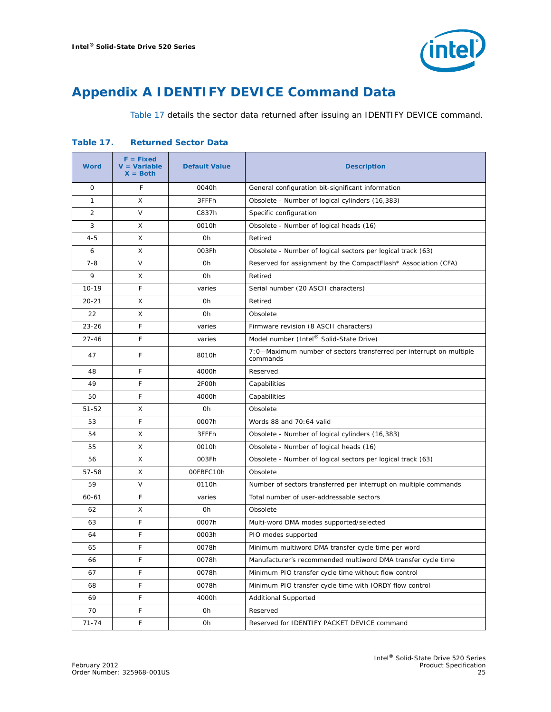

## <span id="page-24-0"></span>**Appendix A IDENTIFY DEVICE Command Data**

[Table 17](#page-24-1) details the sector data returned after issuing an IDENTIFY DEVICE command.

| <b>Word</b>    | $F = Fixed$<br>$V = Variable$<br>$X = Both$ | <b>Default Value</b> | <b>Description</b>                                                              |
|----------------|---------------------------------------------|----------------------|---------------------------------------------------------------------------------|
| 0              | F                                           | 0040h                | General configuration bit-significant information                               |
| $\mathbf{1}$   | X                                           | 3FFFh                | Obsolete - Number of logical cylinders (16,383)                                 |
| $\overline{2}$ | V                                           | C837h                | Specific configuration                                                          |
| 3              | Χ                                           | 0010h                | Obsolete - Number of logical heads (16)                                         |
| $4 - 5$        | Χ                                           | 0h                   | Retired                                                                         |
| 6              | X                                           | 003Fh                | Obsolete - Number of logical sectors per logical track (63)                     |
| $7 - 8$        | V                                           | 0h                   | Reserved for assignment by the CompactFlash* Association (CFA)                  |
| 9              | Χ                                           | 0h                   | Retired                                                                         |
| $10 - 19$      | F                                           | varies               | Serial number (20 ASCII characters)                                             |
| $20 - 21$      | Χ                                           | 0h                   | Retired                                                                         |
| 22             | Χ                                           | 0h                   | Obsolete                                                                        |
| $23 - 26$      | F                                           | varies               | Firmware revision (8 ASCII characters)                                          |
| $27 - 46$      | F                                           | varies               | Model number (Intel® Solid-State Drive)                                         |
| 47             | F                                           | 8010h                | 7:0—Maximum number of sectors transferred per interrupt on multiple<br>commands |
| 48             | F                                           | 4000h                | Reserved                                                                        |
| 49             | F                                           | 2F00h                | Capabilities                                                                    |
| 50             | F                                           | 4000h                | Capabilities                                                                    |
| $51 - 52$      | X                                           | 0h                   | Obsolete                                                                        |
| 53             | F                                           | 0007h                | Words 88 and 70:64 valid                                                        |
| 54             | X                                           | 3FFFh                | Obsolete - Number of logical cylinders (16,383)                                 |
| 55             | X                                           | 0010h                | Obsolete - Number of logical heads (16)                                         |
| 56             | X                                           | 003Fh                | Obsolete - Number of logical sectors per logical track (63)                     |
| 57-58          | Χ                                           | 00FBFC10h            | Obsolete                                                                        |
| 59             | V                                           | 0110h                | Number of sectors transferred per interrupt on multiple commands                |
| $60 - 61$      | F                                           | varies               | Total number of user-addressable sectors                                        |
| 62             | X                                           | 0h                   | Obsolete                                                                        |
| 63             | F                                           | 0007h                | Multi-word DMA modes supported/selected                                         |
| 64             | F                                           | 0003h                | PIO modes supported                                                             |
| 65             | F                                           | 0078h                | Minimum multiword DMA transfer cycle time per word                              |
| 66             | F                                           | 0078h                | Manufacturer's recommended multiword DMA transfer cycle time                    |
| 67             | F                                           | 0078h                | Minimum PIO transfer cycle time without flow control                            |
| 68             | F                                           | 0078h                | Minimum PIO transfer cycle time with IORDY flow control                         |
| 69             | F                                           | 4000h                | Additional Supported                                                            |
| 70             | F                                           | 0h                   | Reserved                                                                        |
| $71 - 74$      | F                                           | 0h                   | Reserved for IDENTIFY PACKET DEVICE command                                     |

#### <span id="page-24-1"></span>**Table 17. Returned Sector Data**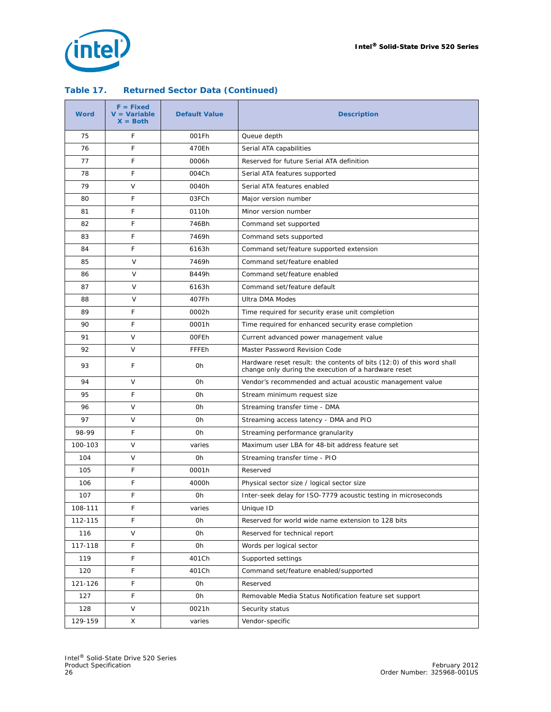

| <b>Word</b> | $F = Fixed$<br>$V = Variable$<br>$X = Both$ | <b>Default Value</b> | <b>Description</b>                                                                                                            |
|-------------|---------------------------------------------|----------------------|-------------------------------------------------------------------------------------------------------------------------------|
| 75          | F                                           | 001Fh                | Queue depth                                                                                                                   |
| 76          | F                                           | 470Eh                | Serial ATA capabilities                                                                                                       |
| 77          | F                                           | 0006h                | Reserved for future Serial ATA definition                                                                                     |
| 78          | F                                           | 004Ch                | Serial ATA features supported                                                                                                 |
| 79          | V                                           | 0040h                | Serial ATA features enabled                                                                                                   |
| 80          | F                                           | 03FCh                | Major version number                                                                                                          |
| 81          | F                                           | 0110h                | Minor version number                                                                                                          |
| 82          | F                                           | 746Bh                | Command set supported                                                                                                         |
| 83          | F                                           | 7469h                | Command sets supported                                                                                                        |
| 84          | F                                           | 6163h                | Command set/feature supported extension                                                                                       |
| 85          | V                                           | 7469h                | Command set/feature enabled                                                                                                   |
| 86          | V                                           | B449h                | Command set/feature enabled                                                                                                   |
| 87          | V                                           | 6163h                | Command set/feature default                                                                                                   |
| 88          | $\vee$                                      | 407Fh                | Ultra DMA Modes                                                                                                               |
| 89          | F                                           | 0002h                | Time required for security erase unit completion                                                                              |
| 90          | F                                           | 0001h                | Time required for enhanced security erase completion                                                                          |
| 91          | $\vee$                                      | 00FEh                | Current advanced power management value                                                                                       |
| 92          | V                                           | FFFEh                | Master Password Revision Code                                                                                                 |
| 93          | F                                           | 0h                   | Hardware reset result: the contents of bits (12:0) of this word shall<br>change only during the execution of a hardware reset |
| 94          | V                                           | 0h                   | Vendor's recommended and actual acoustic management value                                                                     |
| 95          | F                                           | 0h                   | Stream minimum request size                                                                                                   |
| 96          | $\vee$                                      | 0h                   | Streaming transfer time - DMA                                                                                                 |
| 97          | V                                           | 0h                   | Streaming access latency - DMA and PIO                                                                                        |
| 98-99       | F                                           | 0h                   | Streaming performance granularity                                                                                             |
| 100-103     | V                                           | varies               | Maximum user LBA for 48-bit address feature set                                                                               |
| 104         | V                                           | 0h                   | Streaming transfer time - PIO                                                                                                 |
| 105         | F                                           | 0001h                | Reserved                                                                                                                      |
| 106         | F                                           | 4000h                | Physical sector size / logical sector size                                                                                    |
| 107         | F                                           | 0h                   | Inter-seek delay for ISO-7779 acoustic testing in microseconds                                                                |
| 108-111     | F                                           | varies               | Unique ID                                                                                                                     |
| 112-115     | F                                           | 0h                   | Reserved for world wide name extension to 128 bits                                                                            |
| 116         | V                                           | 0h                   | Reserved for technical report                                                                                                 |
| 117-118     | F                                           | 0h                   | Words per logical sector                                                                                                      |
| 119         | F                                           | 401Ch                | Supported settings                                                                                                            |
| 120         | F                                           | 401Ch                | Command set/feature enabled/supported                                                                                         |
| 121-126     | F                                           | 0h                   | Reserved                                                                                                                      |
| 127         | F                                           | 0h                   | Removable Media Status Notification feature set support                                                                       |
| 128         | V                                           | 0021h                | Security status                                                                                                               |
| 129-159     | Χ                                           | varies               | Vendor-specific                                                                                                               |

#### **Table 17. Returned Sector Data (Continued)**